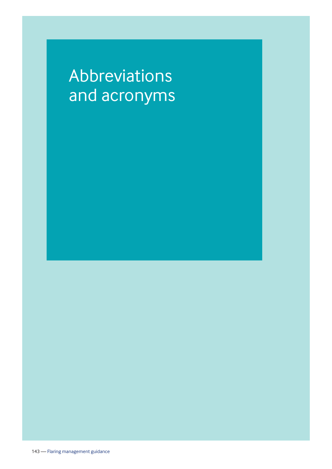## Abbreviations and acronyms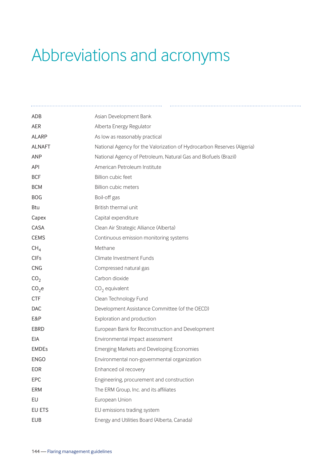## Abbreviations and acronyms

| ADB               | Asian Development Bank                                                 |
|-------------------|------------------------------------------------------------------------|
| <b>AER</b>        | Alberta Energy Regulator                                               |
| <b>ALARP</b>      | As low as reasonably practical                                         |
| <b>ALNAFT</b>     | National Agency for the Valorization of Hydrocarbon Reserves (Algeria) |
| <b>ANP</b>        | National Agency of Petroleum, Natural Gas and Biofuels (Brazil)        |
| <b>API</b>        | American Petroleum Institute                                           |
| <b>BCF</b>        | Billion cubic feet                                                     |
| <b>BCM</b>        | <b>Billion cubic meters</b>                                            |
| <b>BOG</b>        | Boil-off gas                                                           |
| <b>Btu</b>        | British thermal unit                                                   |
| Capex             | Capital expenditure                                                    |
| CASA              | Clean Air Strategic Alliance (Alberta)                                 |
| <b>CEMS</b>       | Continuous emission monitoring systems                                 |
| CH <sub>4</sub>   | Methane                                                                |
| <b>CIFs</b>       | Climate Investment Funds                                               |
| <b>CNG</b>        | Compressed natural gas                                                 |
| CO <sub>2</sub>   | Carbon dioxide                                                         |
| CO <sub>2</sub> e | $CO2$ equivalent                                                       |
| <b>CTF</b>        | Clean Technology Fund                                                  |
| <b>DAC</b>        | Development Assistance Committee (of the OECD)                         |
| E&P               | Exploration and production                                             |
| <b>EBRD</b>       | European Bank for Reconstruction and Development                       |
| <b>EIA</b>        | Environmental impact assessment                                        |
| <b>EMDEs</b>      | Emerging Markets and Developing Economies                              |
| <b>ENGO</b>       | Environmental non-governmental organization                            |
| EOR               | Enhanced oil recovery                                                  |
| EPC               | Engineering, procurement and construction                              |
| <b>ERM</b>        | The ERM Group, Inc. and its affiliates                                 |
| EU                | European Union                                                         |
| EU ETS            | EU emissions trading system                                            |
| <b>EUB</b>        | Energy and Utilities Board (Alberta, Canada)                           |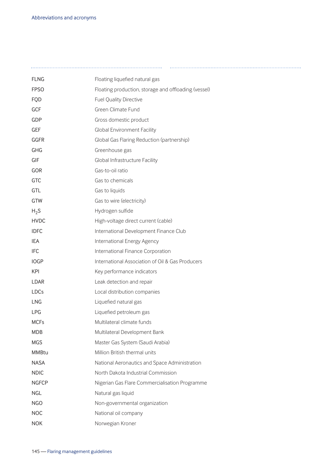| <b>FLNG</b>  | Floating liquefied natural gas                       |
|--------------|------------------------------------------------------|
| <b>FPSO</b>  | Floating production, storage and offloading (vessel) |
| <b>FQD</b>   | <b>Fuel Quality Directive</b>                        |
| GCF          | Green Climate Fund                                   |
| GDP          | Gross domestic product                               |
| <b>GEF</b>   | Global Environment Facility                          |
| GGFR         | Global Gas Flaring Reduction (partnership)           |
| GHG          | Greenhouse gas                                       |
| GIF          | Global Infrastructure Facility                       |
| GOR          | Gas-to-oil ratio                                     |
| GTC          | Gas to chemicals                                     |
| GTL          | Gas to liquids                                       |
| GTW          | Gas to wire (electricity)                            |
| $H_2S$       | Hydrogen sulfide                                     |
| <b>HVDC</b>  | High-voltage direct current (cable)                  |
| <b>IDFC</b>  | International Development Finance Club               |
| IEA          | International Energy Agency                          |
| <b>IFC</b>   | International Finance Corporation                    |
| <b>IOGP</b>  | International Association of Oil & Gas Producers     |
| <b>KPI</b>   | Key performance indicators                           |
| LDAR         | Leak detection and repair                            |
| LDCs         | Local distribution companies                         |
| <b>LNG</b>   | Liquefied natural gas                                |
| LPG          | Liquefied petroleum gas                              |
| <b>MCFs</b>  | Multilateral climate funds                           |
| <b>MDB</b>   | Multilateral Development Bank                        |
| <b>MGS</b>   | Master Gas System (Saudi Arabia)                     |
| <b>MMBtu</b> | Million British thermal units                        |
| <b>NASA</b>  | National Aeronautics and Space Administration        |
| <b>NDIC</b>  | North Dakota Industrial Commission                   |
| <b>NGFCP</b> | Nigerian Gas Flare Commercialisation Programme       |
| <b>NGL</b>   | Natural gas liquid                                   |
| <b>NGO</b>   | Non-governmental organization                        |
| <b>NOC</b>   | National oil company                                 |
| <b>NOK</b>   | Norwegian Kroner                                     |